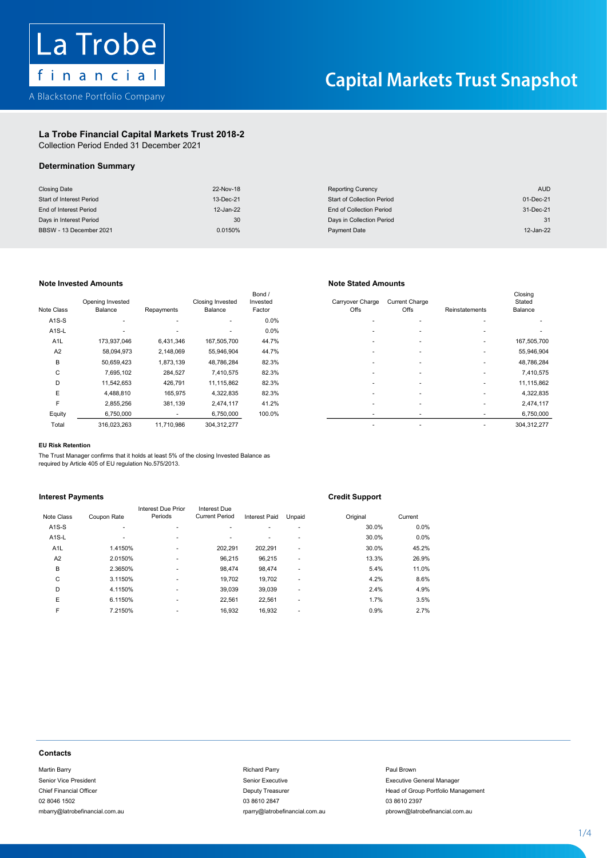

### La Trobe Financial Capital Markets Trust 2018-2 La Trobe Financial Capital Markets Trust 2018-2La Trobe Financial Capital Markets Tr

Collection Period Ended 31 December 2021 Collection Period Ended 31 December 2021

### $\mathcal{L}$  . The financial  $\mathcal{L}$  and  $\mathcal{L}$ Determination Summary Determination Summary

| <b>Closing Date</b>      | 22-Nov-18 | <b>Reporting Curency</b>          | <b>AUD</b> |
|--------------------------|-----------|-----------------------------------|------------|
| Start of Interest Period | 13-Dec-21 | <b>Start of Collection Period</b> | 01-Dec-21  |
| End of Interest Period   | 12-Jan-22 | End of Collection Period          | 31-Dec-21  |
| Days in Interest Period  | 30        | Days in Collection Period         |            |
| BBSW - 13 December 2021  | 0.0150%   | Payment Date                      | 12-Jan-22  |

## Note Invested Amounts **Note Stated Amounts** Note Stated Amounts

| Note Class         | Opening Invested<br>Balance | Repayments               | <b>Closing Invested</b><br>Balance | Bond /<br>Invested<br>Factor | Carryover Charge<br>Offs | <b>Current Charge</b><br>Offs | Reinstatements | Closing<br>Stated<br>Balance |
|--------------------|-----------------------------|--------------------------|------------------------------------|------------------------------|--------------------------|-------------------------------|----------------|------------------------------|
| $A1S-S$            | ٠                           | $\overline{\phantom{a}}$ | ٠                                  | 0.0%                         |                          |                               |                |                              |
| A <sub>1</sub> S-L |                             | $\sim$                   | ٠                                  | 0.0%                         | ۰                        |                               |                |                              |
| A <sub>1</sub> L   | 173,937,046                 | 6,431,346                | 167,505,700                        | 44.7%                        | ۰                        |                               |                | 167,505,700                  |
| A <sub>2</sub>     | 58,094,973                  | 2,148,069                | 55,946,904                         | 44.7%                        |                          |                               |                | 55,946,904                   |
| В                  | 50,659,423                  | 1,873,139                | 48,786,284                         | 82.3%                        | ۰                        |                               |                | 48,786,284                   |
| C                  | 7,695,102                   | 284,527                  | 7,410,575                          | 82.3%                        | ۰                        |                               |                | 7,410,575                    |
| D                  | 11,542,653                  | 426,791                  | 11,115,862                         | 82.3%                        |                          |                               | ٠              | 11,115,862                   |
| E                  | 4,488,810                   | 165,975                  | 4,322,835                          | 82.3%                        | ۰                        |                               | ٠              | 4,322,835                    |
| F                  | 2,855,256                   | 381,139                  | 2,474,117                          | 41.2%                        |                          |                               |                | 2,474,117                    |
| Equity             | 6,750,000                   |                          | 6,750,000                          | 100.0%                       |                          |                               |                | 6,750,000                    |
| Total              | 316.023.263                 | 11.710.986               | 304.312.277                        |                              | ۰                        |                               |                | 304.312.277                  |

| e Class            | Opening Invested<br>Balance | Repayments | Closing Invested<br>Balance | Bond /<br>Invested<br>Factor | Carryover Charge<br>Offs | <b>Current Charge</b><br><b>Offs</b> | Reinstatements | Closing<br>Stated<br>Balance |
|--------------------|-----------------------------|------------|-----------------------------|------------------------------|--------------------------|--------------------------------------|----------------|------------------------------|
| A <sub>1</sub> S-S | $\overline{\phantom{a}}$    | ۰          | ۰.                          | 0.0%                         |                          |                                      |                |                              |
| A <sub>1</sub> S-L |                             | ۰          | ٠                           | 0.0%                         | ۰                        | ۰                                    | ۰              |                              |
| A <sub>1</sub> L   | 173,937,046                 | 6,431,346  | 167,505,700                 | 44.7%                        |                          |                                      |                | 167,505,700                  |
| A2                 | 58,094,973                  | 2,148,069  | 55,946,904                  | 44.7%                        |                          |                                      |                | 55,946,904                   |
| в                  | 50,659,423                  | 1,873,139  | 48,786,284                  | 82.3%                        |                          | ۰                                    |                | 48,786,284                   |
| C                  | 7,695,102                   | 284,527    | 7,410,575                   | 82.3%                        | ۰                        | ۰                                    |                | 7,410,575                    |
| D                  | 11,542,653                  | 426,791    | 11,115,862                  | 82.3%                        |                          | ۰                                    |                | 11,115,862                   |
| E                  | 4,488,810                   | 165,975    | 4,322,835                   | 82.3%                        |                          |                                      |                | 4,322,835                    |
| F                  | 2,855,256                   | 381,139    | 2,474,117                   | 41.2%                        | ۰                        | ۰                                    |                | 2,474,117                    |
| Equity             | 6,750,000                   |            | 6,750,000                   | 100.0%                       | ٠                        |                                      |                | 6,750,000                    |
| Total              | 316,023,263                 | 11,710,986 | 304,312,277                 |                              |                          |                                      |                | 304, 312, 277                |
|                    |                             |            |                             |                              |                          |                                      |                |                              |

### E 4,488,809 165,974 4,322,835 82.3% - - - 4,322,835 EU Risk Retention

The Trust Manager confirms that it holds at least 5% of the closing Invested Balance as required by Article 405 of EU regulation No.575/2013.

# <u>Interest Payments</u> Credit Support Credit Support

| <b>Interest Payments</b>                                 |                    |                    |                       |                                          |                | <b>Credit Support</b> |                                                    |
|----------------------------------------------------------|--------------------|--------------------|-----------------------|------------------------------------------|----------------|-----------------------|----------------------------------------------------|
|                                                          |                    | Interest Due Prior | Interest Due          |                                          |                |                       |                                                    |
| Note Class                                               | Coupon Rate        | Periods            | <b>Current Period</b> | Interest Paid                            | Unpaid         | Original              | Current                                            |
| A <sub>1</sub> S-S                                       | ä,                 | $\blacksquare$     | ٠                     | ٠                                        |                | 30.0%                 | 0.0%                                               |
| A <sub>1</sub> S-L                                       | ÷,                 | ÷                  | ٠                     | $\overline{\phantom{a}}$                 | $\blacksquare$ | 30.0%                 | 0.0%                                               |
| A <sub>1</sub> L                                         | 1.4150%            |                    | 202,291               | 202,291                                  | $\blacksquare$ | 30.0%                 | 45.2%                                              |
| A <sub>2</sub>                                           | 2.0150%            |                    | 96,215                | 96,215                                   | $\overline{a}$ | 13.3%                 | 26.9%                                              |
| B                                                        | 2.3650%            |                    | 98,474                | 98,474                                   | ÷,             | 5.4%                  | 11.0%                                              |
| C<br>D                                                   | 3.1150%<br>4.1150% |                    | 19,702<br>39,039      | 19,702<br>39,039                         | $\blacksquare$ | 4.2%<br>2.4%          | 8.6%<br>4.9%                                       |
| Ε                                                        | 6.1150%            |                    | 22,561                | 22,561                                   | $\blacksquare$ | 1.7%                  | 3.5%                                               |
| F                                                        | 7.2150%            |                    | 16,932                | 16,932                                   | ٠              | 0.9%                  | 2.7%                                               |
|                                                          |                    |                    |                       |                                          |                |                       |                                                    |
| <b>Contacts</b><br>Martin Barry<br>Senior Vice President |                    |                    |                       | <b>Richard Parry</b><br>Senior Executive |                |                       | Paul Brown<br><b>Executive General Manager</b>     |
|                                                          |                    |                    |                       |                                          |                |                       |                                                    |
| <b>Chief Financial Officer</b><br>02 8046 1502           |                    |                    |                       | Deputy Treasurer<br>03 8610 2847         |                |                       | Head of Group Portfolio Management<br>03 8610 2397 |
|                                                          |                    |                    |                       |                                          |                |                       |                                                    |

### **Contacts** Contacts Financial Officer Deputy Treasurer Head of Group Portfolio Management Portfolio Management Portfolio Ma contacts contacts and contact and contact and contact and contact and contact and contact and contact and conta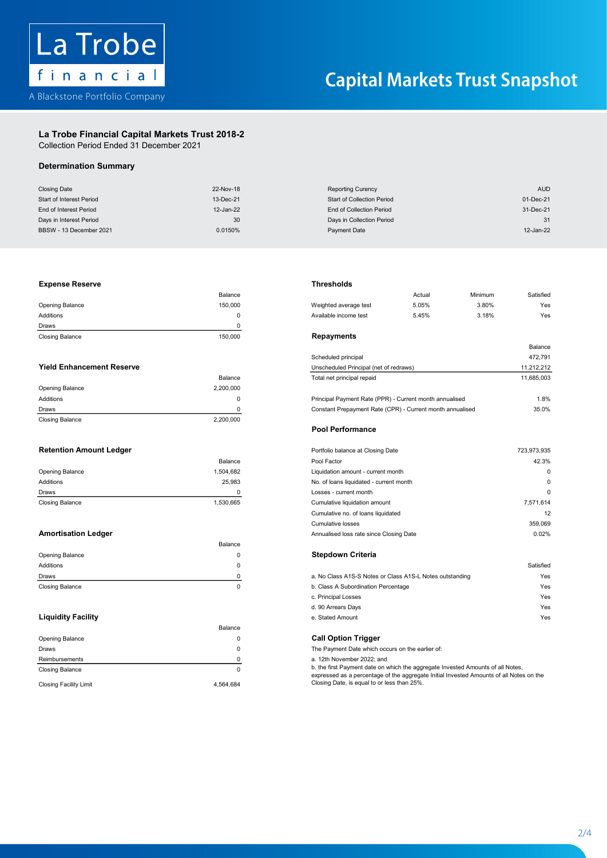

## La Trobe Financial Capital Markets Trust 2018-2 La Trobe Financial Capital Markets Trust 2018-2

Collection Period Ended 31 December 2021 Collection Period Ended 31 December 2021

# Determination Summary

| <b>Determination Summary</b>     |             |                                                                                         |                      |
|----------------------------------|-------------|-----------------------------------------------------------------------------------------|----------------------|
| <b>Closing Date</b>              | 22-Nov-18   | <b>Reporting Curency</b>                                                                | <b>AUD</b>           |
| Start of Interest Period         | 13-Dec-21   | <b>Start of Collection Period</b>                                                       | 01-Dec-21            |
| End of Interest Period           | 12-Jan-22   | <b>End of Collection Period</b>                                                         | 31-Dec-21            |
| Days in Interest Period          | 30          | Days in Collection Period                                                               | 31                   |
| BBSW - 13 December 2021          | 0.0150%     | <b>Payment Date</b>                                                                     | 12-Jan-22            |
|                                  |             |                                                                                         |                      |
|                                  |             |                                                                                         |                      |
| <b>Expense Reserve</b>           | Balance     | <b>Thresholds</b><br>Actual                                                             | Satisfied<br>Minimum |
| Opening Balance                  | 150,000     | 5.05%<br>Weighted average test                                                          | 3.80%<br>Yes         |
| Additions                        | 0           | Available income test<br>5.45%                                                          | 3.18%<br>Yes         |
| Draws                            | $\mathbf 0$ |                                                                                         |                      |
|                                  | 150,000     | <b>Repayments</b>                                                                       |                      |
| <b>Closing Balance</b>           |             |                                                                                         | Balance              |
|                                  |             | Scheduled principal                                                                     | 472,791              |
| <b>Yield Enhancement Reserve</b> |             | Unscheduled Principal (net of redraws)                                                  | 11,212,212           |
|                                  | Balance     | Total net principal repaid                                                              | 11,685,003           |
| Opening Balance                  | 2,200,000   |                                                                                         |                      |
| Additions                        | $\mathbf 0$ | Principal Payment Rate (PPR) - Current month annualised                                 | 1.8%                 |
| Draws                            | $\pmb{0}$   | Constant Prepayment Rate (CPR) - Current month annualised                               | 35.0%                |
| <b>Closing Balance</b>           | 2,200,000   |                                                                                         |                      |
|                                  |             | <b>Pool Performance</b>                                                                 |                      |
| <b>Retention Amount Ledger</b>   |             | Portfolio balance at Closing Date                                                       | 723,973,935          |
|                                  | Balance     | Pool Factor                                                                             | 42.3%                |
| Opening Balance                  | 1,504,682   | Liquidation amount - current month                                                      | $\pmb{0}$            |
| Additions                        | 25,983      | No. of loans liquidated - current month                                                 | $\mathbf 0$          |
|                                  |             |                                                                                         | $\Omega$             |
| Draws                            | 0           | Losses - current month                                                                  |                      |
| <b>Closing Balance</b>           | 1,530,665   | Cumulative liquidation amount                                                           | 7,571,614            |
|                                  |             | Cumulative no. of loans liquidated                                                      | 12                   |
|                                  |             | <b>Cumulative losses</b>                                                                | 359,069              |
| <b>Amortisation Ledger</b>       |             | Annualised loss rate since Closing Date                                                 | 0.02%                |
|                                  | Balance     |                                                                                         |                      |
| Opening Balance                  | 0           | <b>Stepdown Criteria</b>                                                                |                      |
| Additions                        | $\mathbf 0$ |                                                                                         | Satisfied            |
| Draws                            | $\pmb{0}$   | a. No Class A1S-S Notes or Class A1S-L Notes outstanding                                | Yes                  |
| <b>Closing Balance</b>           | $\mathbf 0$ | b. Class A Subordination Percentage                                                     | Yes                  |
|                                  |             | c. Principal Losses                                                                     | Yes                  |
|                                  |             | d. 90 Arrears Days                                                                      | Yes                  |
| <b>Liquidity Facility</b>        |             | e. Stated Amount                                                                        | Yes                  |
|                                  | Balance     |                                                                                         |                      |
| Opening Balance                  | 0           | <b>Call Option Trigger</b>                                                              |                      |
| Draws                            | $\mathbf 0$ | The Payment Date which occurs on the earlier of:                                        |                      |
| Reimbursements                   | 0           | a. 12th November 2022; and                                                              |                      |
|                                  | $\mathbf 0$ | b. the first Payment date on which the aggregate Invested Amounts of all Notes,         |                      |
| <b>Closing Balance</b>           |             | expressed as a percentage of the aggregate Initial Invested Amounts of all Notes on the |                      |
| <b>Closing Facility Limit</b>    | 4,564,684   | Closing Date, is equal to or less than 25%.                                             |                      |
|                                  |             |                                                                                         |                      |
|                                  |             |                                                                                         |                      |
|                                  |             |                                                                                         |                      |
|                                  |             |                                                                                         |                      |
|                                  |             |                                                                                         |                      |
|                                  |             |                                                                                         |                      |
|                                  |             |                                                                                         |                      |
|                                  |             |                                                                                         |                      |
|                                  |             |                                                                                         |                      |
|                                  |             |                                                                                         |                      |
|                                  |             |                                                                                         |                      |
|                                  |             |                                                                                         |                      |
|                                  |             |                                                                                         |                      |
|                                  |             |                                                                                         |                      |
|                                  |             |                                                                                         |                      |
|                                  |             |                                                                                         |                      |

## Opening Balance 150,000 Weighted average test 5.05% 3.80% Yes Expense Reserve Thresholds

| <b>Closing Balance</b> | 150,000 | Repayments       |
|------------------------|---------|------------------|
| Draws                  |         |                  |
| Additions              |         | Available income |
| Opening Balance        | 150.000 | Weighted averag  |
|                        | Balance |                  |

|                        |           | <b>Pool Performance</b>                                   |            |
|------------------------|-----------|-----------------------------------------------------------|------------|
| <b>Closing Balance</b> | 2.200.000 |                                                           |            |
| Draws                  | O.        | Constant Prepayment Rate (CPR) - Current month annualised | 35.0%      |
| Additions              | 0         | Principal Payment Rate (PPR) - Current month annualised   | 1.8%       |
| Opening Balance        | 2.200.000 |                                                           |            |
|                        | Balance   | I otal net principal repaid                               | 11.685.003 |

|                        | Balance   |
|------------------------|-----------|
| Opening Balance        | 1,504,682 |
| <b>Additions</b>       | 25.983    |
| Draws                  |           |
| <b>Closing Balance</b> | 1,530,665 |

|                        | Balance |                                                          |           |
|------------------------|---------|----------------------------------------------------------|-----------|
| <b>Opening Balance</b> |         | <b>Stepdown Criteria</b>                                 |           |
| Additions              |         |                                                          | Satisfied |
| Draws                  |         | a. No Class A1S-S Notes or Class A1S-L Notes outstanding | Yes       |
| <b>Closing Balance</b> |         | b. Class A Subordination Percentage                      | Yes       |

|                               | Balance   |                                                                                                                                                                            |
|-------------------------------|-----------|----------------------------------------------------------------------------------------------------------------------------------------------------------------------------|
| <b>Opening Balance</b>        |           | <b>Call Option Trigger</b>                                                                                                                                                 |
| Draws                         |           | The Payment Date which occurs on the earlier of:                                                                                                                           |
| Reimbursements                |           | a. 12th November 2022; and                                                                                                                                                 |
| <b>Closing Balance</b>        |           | b. the first Payment date on which the aggregate Invested Amounts of all Notes,<br>expressed as a percentage of the aggregate Initial Invested Amounts of all Notes on the |
| <b>Closing Facility Limit</b> | 4.564.684 | Closing Date, is equal to or less than 25%.                                                                                                                                |

### the serve that the contract of the contract of the contract of the contract of the contract of the contract of the contract of the contract of the contract of the contract of the contract of the contract of the contract of

|                                  | Balance   |                                                         | Actual | Minimum | Satisfied  |
|----------------------------------|-----------|---------------------------------------------------------|--------|---------|------------|
| Opening Balance                  | 150,000   | Weighted average test                                   | 5.05%  | 3.80%   | Yes        |
| <b>Additions</b>                 | 0         | Available income test                                   | 5.45%  | 3.18%   | Yes        |
| Draws                            |           |                                                         |        |         |            |
| <b>Closing Balance</b>           | 150,000   | Repayments                                              |        |         |            |
|                                  |           |                                                         |        |         | Balance    |
|                                  |           | Scheduled principal                                     |        |         | 472.791    |
| <b>Yield Enhancement Reserve</b> |           | Unscheduled Principal (net of redraws)                  |        |         | 11,212,212 |
|                                  | Balance   | Total net principal repaid                              |        |         | 11,685,003 |
| Opening Balance                  | 2,200,000 |                                                         |        |         |            |
| Additions                        | 0         | Principal Payment Rate (PPR) - Current month annualised |        |         | 1.8%       |
|                                  |           |                                                         |        |         |            |

## Retention Amount Ledger Portfolio balance at Closing Date 723,973,935 Pool Performance

| <b>Retention Amount Ledger</b> |           | Portfolio balance at Closing Date       | 723,973,935 |
|--------------------------------|-----------|-----------------------------------------|-------------|
|                                | Balance   | Pool Factor                             | 42.3%       |
| Opening Balance                | 1,504,682 | Liquidation amount - current month      | $^{\circ}$  |
| Additions                      | 25.983    | No. of loans liquidated - current month | 0           |
| <b>Draws</b>                   |           | Losses - current month                  | $\Omega$    |
| <b>Closing Balance</b>         | 1.530.665 | Cumulative liquidation amount           | 7,571,614   |
|                                |           | Cumulative no. of loans liquidated      | 12          |
|                                |           | Cumulative losses                       | 359,069     |
| <b>Amortisation Ledger</b>     |           | Annualised loss rate since Closing Date | 0.02%       |

| <b>Draws</b>              |                                     | a. No Class A1S-S Notes or Class A1S-L Notes outstanding | Yes |
|---------------------------|-------------------------------------|----------------------------------------------------------|-----|
| Closing Balance           | b. Class A Subordination Percentage |                                                          | Yes |
|                           |                                     | c. Principal Losses                                      | Yes |
|                           |                                     | d. 90 Arrears Days                                       | Yes |
| <b>Liquidity Facility</b> |                                     | e. Stated Amount                                         | Yes |

2 - 4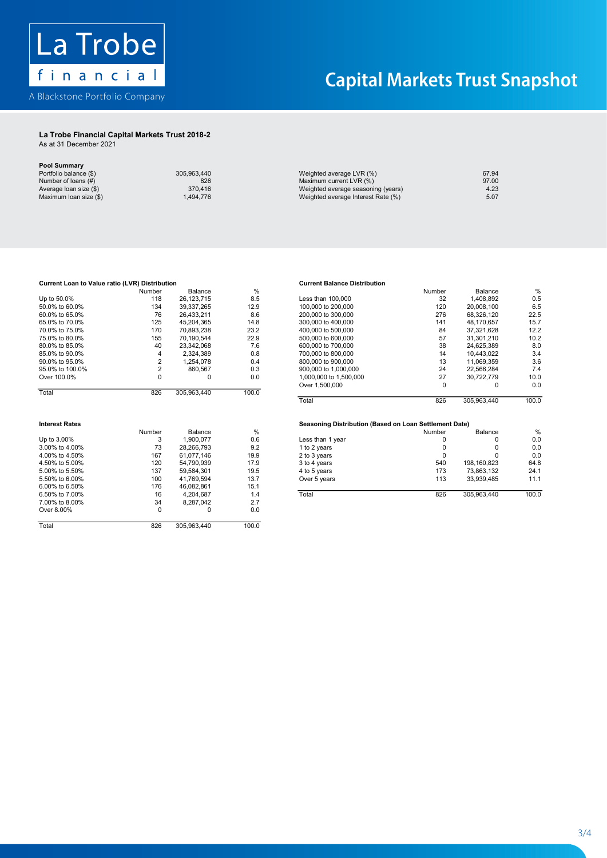

## La Trobe Financial Capital Markets Trust 2018-2 La Trobe Financial Capital Markets Trust 2018-2

As at 31 December 2021 As at 31 December 2021

| <b>Pool Summary</b>    |             |                                    |       |
|------------------------|-------------|------------------------------------|-------|
| Portfolio balance (\$) | 305.963.440 | Weighted average LVR (%)           | 67.94 |
| Number of loans (#)    | 826         | Maximum current LVR (%)            | 97.00 |
| Average loan size (\$) | 370.416     | Weighted average seasoning (years) | 4.23  |
| Maximum Ioan size (\$) | .494.776    | Weighted average Interest Rate (%) | 5.07  |

| Current Loan to Value ratio (LVR) Distribution |                |             |               | <b>Current Balance Distribution</b>                    |        |              |                |
|------------------------------------------------|----------------|-------------|---------------|--------------------------------------------------------|--------|--------------|----------------|
|                                                | Number         | Balance     | %             |                                                        | Number | Balance      | %              |
| Up to 50.0%                                    | 118            | 26.123.715  | 8.5           | Less than 100,000                                      | 32     | 1.408.892    | 0.5            |
| 50.0% to 60.0%                                 | 134            | 39,337,265  | 12.9          | 100,000 to 200,000                                     | 120    | 20,008,100   | 6.5            |
| 60.0% to 65.0%                                 | 76             | 26,433,211  | 8.6           | 200,000 to 300,000                                     | 276    | 68,326,120   | 22.5           |
| 65.0% to 70.0%                                 | 125            | 45,204,365  | 14.8          | 300,000 to 400,000                                     | 141    | 48,170,657   | 15.7           |
| 70.0% to 75.0%                                 | 170            | 70,893,238  | 23.2          | 400,000 to 500,000                                     | 84     | 37,321,628   | 12.2           |
| 75.0% to 80.0%                                 | 155            | 70,190,544  | 22.9          | 500,000 to 600,000                                     | 57     | 31,301,210   | 10.2           |
| 80.0% to 85.0%                                 | 40             | 23,342,068  | 7.6           | 600,000 to 700,000                                     | 38     | 24,625,389   | 8 <sub>0</sub> |
| 85.0% to 90.0%                                 | 4              | 2,324,389   | 0.8           | 700,000 to 800,000                                     | 14     | 10,443,022   | 3.4            |
| 90.0% to 95.0%                                 | $\overline{2}$ | 1.254.078   | 0.4           | 800,000 to 900,000                                     | 13     | 11,069,359   | 3.6            |
| 95.0% to 100.0%                                | $\overline{2}$ | 860,567     | 0.3           | 900,000 to 1,000,000                                   | 24     | 22,566,284   | 7.4            |
| Over 100.0%                                    | 0              | 0           | 0.0           | 1,000,000 to 1,500,000                                 | 27     | 30,722,779   | 10.0           |
|                                                |                |             |               | Over 1,500,000                                         | 0      | 0            | 0.0            |
| Total                                          | 826            | 305,963,440 | 100.0         |                                                        |        |              |                |
|                                                |                |             |               | Total                                                  | 826    | 305.963.440  | 100.0          |
| <b>Interest Rates</b>                          |                |             |               | Seasoning Distribution (Based on Loan Settlement Date) |        |              |                |
|                                                | Number         | Balance     | $\frac{0}{0}$ |                                                        | Number | Balance      | %              |
| Up to 3.00%                                    | 3              | 1,900,077   | 0.6           | Less than 1 year                                       | 0      | 0            | 0.0            |
| 3.00% to 4.00%                                 | 73             | 28.266.793  | 9.2           | 1 to 2 years                                           | 0      | 0            | 0.0            |
| 4.00% to 4.50%                                 | 167            | 61,077,146  | 19.9          | 2 to 3 years                                           | 0      | <sup>0</sup> | 0.0            |
| 4.50% to 5.00%                                 | 120            | 54,790,939  | 17.9          | 3 to 4 years                                           | 540    | 198,160,823  | 64.8           |
| 5.00% to 5.50%                                 | 137            | 59,584,301  | 19.5          | 4 to 5 years                                           | 173    | 73,863,132   | 24.1           |
| 5.50% to 6.00%                                 | 100            | 41,769,594  | 13.7          | Over 5 years                                           | 113    | 33,939,485   | 11.1           |
| 6.00% to 6.50%                                 | 176            | 46,082,861  | 15.1          |                                                        |        |              |                |
| 6.50% to 7.00%                                 | 16             | 4,204,687   | 1.4           | Total                                                  | 826    | 305,963,440  | 100.0          |
| 7.00% to 8.00%                                 | 34             | 8,287,042   | 2.7           |                                                        |        |              |                |
| Over 8.00%                                     | 0              | 0           | 0.0           |                                                        |        |              |                |
| Total                                          | 826            | 305,963,440 | 100.0         |                                                        |        |              |                |

|                 | Number | Balance     | %     |                        | Number | Balance     | %     |
|-----------------|--------|-------------|-------|------------------------|--------|-------------|-------|
| Up to 50.0%     | 118    | 26.123.715  | 8.5   | Less than 100.000      | 32     | 1.408.892   | 0.5   |
| 50.0% to 60.0%  | 134    | 39.337.265  | 12.9  | 100,000 to 200,000     | 120    | 20.008.100  | 6.5   |
| 60.0% to 65.0%  | 76     | 26.433.211  | 8.6   | 200,000 to 300,000     | 276    | 68.326.120  | 22.5  |
| 65.0% to 70.0%  | 125    | 45.204.365  | 14.8  | 300,000 to 400,000     | 141    | 48.170.657  | 15.7  |
| 70.0% to 75.0%  | 170    | 70.893.238  | 23.2  | 400,000 to 500,000     | 84     | 37.321.628  | 12.2  |
| 75.0% to 80.0%  | 155    | 70.190.544  | 22.9  | 500,000 to 600,000     | 57     | 31.301.210  | 10.2  |
| 80.0% to 85.0%  | 40     | 23.342.068  | 7.6   | 600,000 to 700,000     | 38     | 24.625.389  | 8.0   |
| 85.0% to 90.0%  | 4      | 2.324.389   | 0.8   | 700,000 to 800,000     | 14     | 10.443.022  | 3.4   |
| 90.0% to 95.0%  |        | .254.078    | 0.4   | 800,000 to 900,000     | 13     | 11.069.359  | 3.6   |
| 95.0% to 100.0% |        | 860.567     | 0.3   | 900,000 to 1,000,000   | 24     | 22.566.284  | 7.4   |
| Over 100.0%     |        |             | 0.0   | 1.000.000 to 1.500.000 | 27     | 30.722.779  | 10.0  |
|                 |        |             |       | Over 1,500,000         |        |             | 0.0   |
| Total           | 826    | 305.963.440 | 100.0 |                        |        |             |       |
|                 |        |             |       | Total                  | 826    | 305 963 440 | 100 Q |

|                   | Number        | Balance    | %          |                  | Number | Balance     | %     |
|-------------------|---------------|------------|------------|------------------|--------|-------------|-------|
| Up to 3.00%       |               | 1.900.077  | 0.6        | Less than 1 year |        |             | 0.0   |
| 3.00% to 4.00%    | 73            | 28.266.793 | 9.2        | 1 to 2 years     |        |             | 0.0   |
| 4.00% to 4.50%    | 167           | 61.077.146 | 19.9       | 2 to 3 years     |        |             | 0.0   |
| 4.50% to 5.00%    | 120           | 54.790.939 | 17.9       | 3 to 4 years     | 540    | 198.160.823 | 64.8  |
| 5.00% to 5.50%    | 137           | 59.584.301 | 19.5       | 4 to 5 years     | 173    | 73.863.132  | 24.1  |
| 5.50% to 6.00%    | 100           | 41.769.594 | 13.7       | Over 5 years     | 113    | 33.939.485  | 11.1  |
| 6.00% to 6.50%    | 176           | 46.082.861 | 15.1       |                  |        |             |       |
| 6.50% to 7.00%    | 16            | 4.204.687  | 1.4        | Total            | 826    | 305.963.440 | 100.0 |
| $7.0001 + 0.0001$ | $\sim$ $\sim$ | 0.007010   | $\sim$ $-$ |                  |        |             |       |